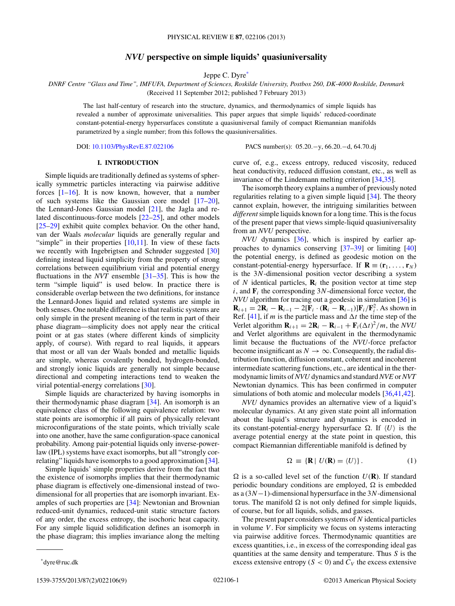# *NVU* **perspective on simple liquids' quasiuniversality**

Jeppe C. Dyre\*

<span id="page-0-0"></span>*DNRF Centre "Glass and Time", IMFUFA, Department of Sciences, Roskilde University, Postbox 260, DK-4000 Roskilde, Denmark* (Received 11 September 2012; published 7 February 2013)

The last half-century of research into the structure, dynamics, and thermodynamics of simple liquids has revealed a number of approximate universalities. This paper argues that simple liquids' reduced-coordinate constant-potential-energy hypersurfaces constitute a quasiuniversal family of compact Riemannian manifolds parametrized by a single number; from this follows the quasiuniversalities.

DOI: [10.1103/PhysRevE.87.022106](http://dx.doi.org/10.1103/PhysRevE.87.022106) PACS number(s): 05*.*20*.*−y, 66*.*20*.*−d, 64*.*70*.*dj

## **I. INTRODUCTION**

Simple liquids are traditionally defined as systems of spherically symmetric particles interacting via pairwise additive forces  $[1-16]$ . It is now known, however, that a number of such systems like the Gaussian core model [\[17–20\]](#page-6-0), the Lennard-Jones Gaussian model  $[21]$ , the Jagla and related discontinuous-force models [\[22–25\]](#page-6-0), and other models [\[25–29\]](#page-6-0) exhibit quite complex behavior. On the other hand, van der Waals *molecular* liquids are generally regular and "simple" in their properties  $[10,11]$ . In view of these facts we recently with Ingebrigtsen and Schrøder suggested [\[30\]](#page-6-0) defining instead liquid simplicity from the property of strong correlations between equilibrium virial and potential energy fluctuations in the *NVT* ensemble [\[31–35\]](#page-6-0). This is how the term "simple liquid" is used below. In practice there is considerable overlap between the two definitions, for instance the Lennard-Jones liquid and related systems are simple in both senses. One notable difference is that realistic systems are only simple in the present meaning of the term in part of their phase diagram—simplicity does not apply near the critical point or at gas states (where different kinds of simplicity apply, of course). With regard to real liquids, it appears that most or all van der Waals bonded and metallic liquids are simple, whereas covalently bonded, hydrogen-bonded, and strongly ionic liquids are generally not simple because directional and competing interactions tend to weaken the virial potential-energy correlations [\[30\]](#page-6-0).

Simple liquids are characterized by having isomorphs in their thermodynamic phase diagram [\[34\]](#page-6-0). An isomorph is an equivalence class of the following equivalence relation: two state points are isomorphic if all pairs of physically relevant microconfigurations of the state points, which trivially scale into one another, have the same configuration-space canonical probability. Among pair-potential liquids only inverse-powerlaw (IPL) systems have exact isomorphs, but all "strongly cor-relating" liquids have isomorphs to a good approximation [\[34\]](#page-6-0).

Simple liquids' simple properties derive from the fact that the existence of isomorphs implies that their thermodynamic phase diagram is effectively one-dimensional instead of twodimensional for all properties that are isomorph invariant. Examples of such properties are [\[34\]](#page-6-0): Newtonian and Brownian reduced-unit dynamics, reduced-unit static structure factors of any order, the excess entropy, the isochoric heat capacity. For any simple liquid solidification defines an isomorph in the phase diagram; this implies invariance along the melting

curve of, e.g., excess entropy, reduced viscosity, reduced heat conductivity, reduced diffusion constant, etc., as well as invariance of the Lindemann melting criterion [\[34,35\]](#page-6-0).

The isomorph theory explains a number of previously noted regularities relating to a given simple liquid [\[34\]](#page-6-0). The theory cannot explain, however, the intriguing similarities between *different*simple liquids known for a long time. This is the focus of the present paper that views simple-liquid quasiuniversality from an *NVU* perspective.

*NVU* dynamics [\[36\]](#page-6-0), which is inspired by earlier approaches to dynamics conserving [\[37–39\]](#page-6-0) or limiting [\[40\]](#page-6-0) the potential energy, is defined as geodesic motion on the constant-potential-energy hypersurface. If  $\mathbf{R} \equiv (\mathbf{r}_1, \dots, \mathbf{r}_N)$ is the 3*N*-dimensional position vector describing a system of *N* identical particles,  $\mathbf{R}_i$  the position vector at time step  $i$ , and  $\mathbf{F}_i$  the corresponding 3*N*-dimensional force vector, the *NVU* algorithm for tracing out a geodesic in simulation [\[36\]](#page-6-0) is **R**<sub>*i*+1</sub> = 2**R**<sub>*i*</sub> − **R**<sub>*i*-1</sub> − 2[**F**<sub>*i*</sub> · (**R**<sub>*i*</sub> − **R**<sub>*i*-1</sub>)]**F**<sub>*i*</sub>/**F**<sup>2</sup><sub>*i*</sub>. As shown in Ref. [\[41\]](#page-6-0), if *m* is the particle mass and  $\Delta t$  the time step of the Verlet algorithm  $\mathbf{R}_{i+1} = 2\mathbf{R}_i - \mathbf{R}_{i-1} + \mathbf{F}_i(\Delta t)^2/m$ , the *NVU* and Verlet algorithms are equivalent in the thermodynamic limit because the fluctuations of the *NVU*-force prefactor become insignificant as  $N \to \infty$ . Consequently, the radial distribution function, diffusion constant, coherent and incoherent intermediate scattering functions, etc., are identical in the thermodynamic limits of*NVU* dynamics and standard*NVE* or*NVT* Newtonian dynamics. This has been confirmed in computer simulations of both atomic and molecular models [\[36,41,42\]](#page-6-0).

*NVU* dynamics provides an alternative view of a liquid's molecular dynamics. At any given state point all information about the liquid's structure and dynamics is encoded in its constant-potential-energy hypersurface  $\Omega$ . If  $\langle U \rangle$  is the average potential energy at the state point in question, this compact Riemannian differentiable manifold is defined by

$$
\Omega \equiv \{ \mathbf{R} \mid U(\mathbf{R}) = \langle U \rangle \}. \tag{1}
$$

 $\Omega$  is a so-called level set of the function  $U(\mathbf{R})$ . If standard periodic boundary conditions are employed,  $\Omega$  is embedded as a (3*N*−1)-dimensional hypersurface in the 3*N*-dimensional torus. The manifold  $\Omega$  is not only defined for simple liquids, of course, but for all liquids, solids, and gasses.

The present paper considers systems of *N* identical particles in volume *V* . For simplicity we focus on systems interacting via pairwise additive forces. Thermodynamic quantities are excess quantities, i.e., in excess of the corresponding ideal gas quantities at the same density and temperature. Thus *S* is the excess extensive entropy  $(S < 0)$  and  $C_V$  the excess extensive

<sup>\*</sup>dyre@ruc.dk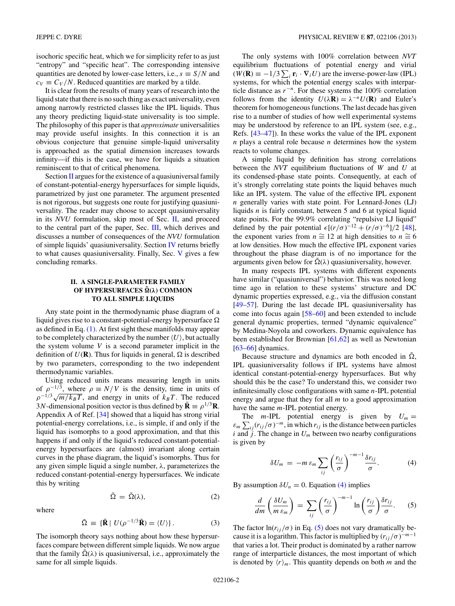<span id="page-1-0"></span>isochoric specific heat, which we for simplicity refer to as just "entropy" and "specific heat". The corresponding intensive quantities are denoted by lower-case letters, i.e.,  $s \equiv S/N$  and  $c_V \equiv C_V/N$ . Reduced quantities are marked by a tilde.

It is clear from the results of many years of research into the liquid state that there is no such thing as exact universality, even among narrowly restricted classes like the IPL liquids. Thus any theory predicting liquid-state universality is too simple. The philosophy of this paper is that *approximate* universalities may provide useful insights. In this connection it is an obvious conjecture that genuine simple-liquid universality is approached as the spatial dimension increases towards infinity—if this is the case, we have for liquids a situation reminiscent to that of critical phenomena.

Section II argues for the existence of a quasiuniversal family of constant-potential-energy hypersurfaces for simple liquids, parametrized by just one parameter. The argument presented is not rigorous, but suggests one route for justifying quasiuniversality. The reader may choose to accept quasiuniversality in its *NVU* formulation, skip most of Sec. II, and proceed to the central part of the paper, Sec. [III,](#page-2-0) which derives and discusses a number of consequences of the *NVU* formulation of simple liquids' quasiuniversality. Section [IV](#page-5-0) returns briefly to what causes quasiuniversality. Finally, Sec. [V](#page-6-0) gives a few concluding remarks.

# **II. A SINGLE-PARAMETER FAMILY OF HYPERSURFACES**  $\tilde{\Omega}(\lambda)$  **COMMON TO ALL SIMPLE LIQUIDS**

Any state point in the thermodynamic phase diagram of a liquid gives rise to a constant-potential-energy hypersurface  $\Omega$ as defined in Eq. [\(1\).](#page-0-0) At first sight these manifolds may appear to be completely characterized by the number  $\langle U \rangle$ , but actually the system volume *V* is a second parameter implicit in the definition of  $U(\mathbf{R})$ . Thus for liquids in general,  $\Omega$  is described by two parameters, corresponding to the two independent thermodynamic variables.

Using reduced units means measuring length in units of  $\rho^{-1/3}$ , where  $\rho \equiv N/V$  is the density, time in units of  $\rho^{-1/3}\sqrt{m/k_BT}$ , and energy in units of  $k_BT$ . The reduced 3*N*-dimensional position vector is thus defined by  $\tilde{\mathbf{R}} \equiv \rho^{1/3} \mathbf{R}$ . Appendix A of Ref. [\[34\]](#page-6-0) showed that a liquid has strong virial potential-energy correlations, i.e., is simple, if and only if the liquid has isomorphs to a good approximation, and that this happens if and only if the liquid's reduced constant-potentialenergy hypersurfaces are (almost) invariant along certain curves in the phase diagram, the liquid's isomorphs. Thus for any given simple liquid a single number, *λ*, parameterizes the reduced constant-potential-energy hypersurfaces. We indicate this by writing

$$
\tilde{\Omega} = \tilde{\Omega}(\lambda), \tag{2}
$$

where

$$
\tilde{\Omega} \equiv \{ \tilde{\mathbf{R}} \mid U(\rho^{-1/3} \tilde{\mathbf{R}}) = \langle U \rangle \}.
$$
 (3)

The isomorph theory says nothing about how these hypersurfaces compare between different simple liquids. We now argue that the family  $\tilde{\Omega}(\lambda)$  is quasiuniversal, i.e., approximately the same for all simple liquids.

The only systems with 100% correlation between *NVT* equilibrium fluctuations of potential energy and virial  $(W(\mathbf{R}) = -1/3 \sum_i \mathbf{r}_i \cdot \nabla_i U)$  are the inverse-power-law (IPL) systems, for which the potential energy scales with interparticle distance as  $r^{-n}$ . For these systems the 100% correlation follows from the identity  $U(\lambda \mathbf{R}) = \lambda^{-n} U(\mathbf{R})$  and Euler's theorem for homogeneous functions. The last decade has given rise to a number of studies of how well experimental systems may be understood by reference to an IPL system (see, e.g., Refs. [\[43](#page-6-0)[–47\]](#page-7-0)). In these works the value of the IPL exponent *n* plays a central role because *n* determines how the system reacts to volume changes.

A simple liquid by definition has strong correlations between the *NVT* equilibrium fluctuations of *W* and *U* at its condensed-phase state points. Consequently, at each of it's strongly correlating state points the liquid behaves much like an IPL system. The value of the effective IPL exponent *n* generally varies with state point. For Lennard-Jones (LJ) liquids *n* is fairly constant, between 5 and 6 at typical liquid state points. For the 99.9% correlating "repulsive LJ liquid" defined by the pair potential  $\epsilon [(r/\sigma)^{-12} + (r/\sigma)^{-6}]/2$  [\[48\]](#page-7-0), the exponent varies from  $n \approx 12$  at high densities to  $n \approx 6$ at low densities. How much the effective IPL exponent varies throughout the phase diagram is of no importance for the arguments given below for  $\Omega(\lambda)$  quasiuniversality, however.

In many respects IPL systems with different exponents have similar ("quasiuniversal") behavior. This was noted long time ago in relation to these systems' structure and DC dynamic properties expressed, e.g., via the diffusion constant [\[49–57\]](#page-7-0). During the last decade IPL quasiuniversality has come into focus again [\[58–60\]](#page-7-0) and been extended to include general dynamic properties, termed "dynamic equivalence" by Medina-Noyola and coworkers. Dynamic equivalence has been established for Brownian [\[61,62\]](#page-7-0) as well as Newtonian  $[63-66]$  dynamics.

Because structure and dynamics are both encoded in  $\Omega$ , IPL quasiuniversality follows if IPL systems have almost identical constant-potential-energy hypersurfaces. But why should this be the case? To understand this, we consider two infinitesimally close configurations with same *n*-IPL potential energy and argue that they for all *m* to a good approximation have the same *m*-IPL potential energy.

The *m*-IPL potential energy is given by  $U_m =$  $\varepsilon_m \sum_{ij} (r_{ij}/\sigma)^{-m}$ , in which  $r_{ij}$  is the distance between particles *i* and  $\dot{j}$ . The change in  $U_m$  between two nearby configurations is given by

$$
\delta U_m = -m \varepsilon_m \sum_{ij} \left(\frac{r_{ij}}{\sigma}\right)^{-m-1} \frac{\delta r_{ij}}{\sigma}.
$$
 (4)

By assumption  $\delta U_n = 0$ . Equation (4) implies

$$
\frac{d}{dm}\left(\frac{\delta U_m}{m\,\varepsilon_m}\right) = \sum_{ij} \left(\frac{r_{ij}}{\sigma}\right)^{-m-1} \ln\left(\frac{r_{ij}}{\sigma}\right) \frac{\delta r_{ij}}{\sigma}.\tag{5}
$$

The factor  $\ln(r_{ij}/\sigma)$  in Eq. (5) does not vary dramatically because it is a logarithm. This factor is multiplied by  $(r_{ij}/\sigma)^{-m-1}$ that varies a lot. Their product is dominated by a rather narrow range of interparticle distances, the most important of which is denoted by  $\langle r \rangle_m$ . This quantity depends on both *m* and the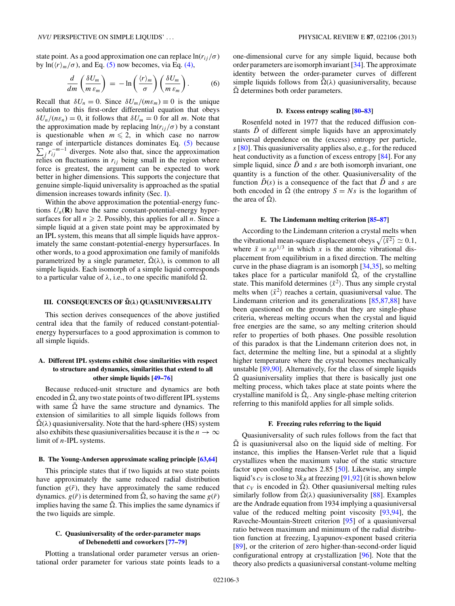<span id="page-2-0"></span>state point. As a good approximation one can replace  $\ln(r_{ij}/\sigma)$ by  $\ln(\langle r \rangle_m / \sigma)$ , and Eq. [\(5\)](#page-1-0) now becomes, via Eq. [\(4\),](#page-1-0)

$$
\frac{d}{dm}\left(\frac{\delta U_m}{m\,\varepsilon_m}\right) = -\ln\left(\frac{\langle r\rangle_m}{\sigma}\right)\left(\frac{\delta U_m}{m\,\varepsilon_m}\right). \tag{6}
$$

Recall that  $\delta U_n = 0$ . Since  $\delta U_m / (m \varepsilon_m) \equiv 0$  is the unique solution to this first-order differential equation that obeys  $\delta U_n/(n \varepsilon_n) = 0$ , it follows that  $\delta U_m = 0$  for all *m*. Note that the approximation made by replacing  $\ln(r_{ij}/\sigma)$  by a constant is questionable when  $m \leq 2$ , in which case no narrow  $\sum_{i} r_{ij}^{-m-1}$  diverges. Note also that, since the approximation range of interparticle distances dominates Eq. [\(5\)](#page-1-0) because relies on fluctuations in  $r_{ij}$  being small in the region where force is greatest, the argument can be expected to work better in higher dimensions. This supports the conjecture that genuine simple-liquid universality is approached as the spatial dimension increases towards infinity (Sec. [I\)](#page-0-0).

Within the above approximation the potential-energy functions  $U_n(\mathbf{R})$  have the same constant-potential-energy hypersurfaces for all  $n \ge 2$ . Possibly, this applies for all *n*. Since a simple liquid at a given state point may be approximated by an IPL system, this means that all simple liquids have approximately the same constant-potential-energy hypersurfaces. In other words, to a good approximation one family of manifolds parametrized by a single parameter,  $\tilde{\Omega}(\lambda)$ , is common to all simple liquids. Each isomorph of a simple liquid corresponds to a particular value of  $\lambda$ , i.e., to one specific manifold  $\tilde{\Omega}$ .

# **III. CONSEQUENCES OF**  $\tilde{\Omega}(\lambda)$  **QUASIUNIVERSALITY**

This section derives consequences of the above justified central idea that the family of reduced constant-potentialenergy hypersurfaces to a good approximation is common to all simple liquids.

# **A. Different IPL systems exhibit close similarities with respect to structure and dynamics, similarities that extend to all other simple liquids [\[49–76\]](#page-7-0)**

Because reduced-unit structure and dynamics are both encoded in  $\tilde{\Omega}$ , any two state points of two different IPL systems with same  $\tilde{\Omega}$  have the same structure and dynamics. The extension of similarities to all simple liquids follows from  $\Omega(\lambda)$  quasiuniversality. Note that the hard-sphere (HS) system also exhibits these quasiuniversalities because it is the  $n \to \infty$ limit of *n*-IPL systems.

### **B. The Young-Andersen approximate scaling principle [\[63,64\]](#page-7-0)**

This principle states that if two liquids at two state points have approximately the same reduced radial distribution function  $g(\tilde{r})$ , they have approximately the same reduced dynamics.  $g(\tilde{r})$  is determined from  $\Omega$ , so having the same  $g(\tilde{r})$ implies having the same  $\tilde{\Omega}$ . This implies the same dynamics if the two liquids are simple.

# **C. Quasiuniversality of the order-parameter maps of Debenedetti and coworkers [\[77–79\]](#page-7-0)**

Plotting a translational order parameter versus an orientational order parameter for various state points leads to a

one-dimensional curve for any simple liquid, because both order parameters are isomorph invariant [\[34\]](#page-6-0). The approximate identity between the order-parameter curves of different simple liquids follows from  $\Omega(\lambda)$  quasiuniversality, because  $\tilde{\Omega}$  determines both order parameters.

## **D. Excess entropy scaling [\[80–83\]](#page-7-0)**

Rosenfeld noted in 1977 that the reduced diffusion constants  $\ddot{D}$  of different simple liquids have an approximately universal dependence on the (excess) entropy per particle, *s* [\[80\]](#page-7-0). This quasiuniversality applies also, e.g., for the reduced heat conductivity as a function of excess entropy [\[84\]](#page-7-0). For any simple liquid, since  $\ddot{D}$  and  $s$  are both isomorph invariant, one quantity is a function of the other. Quasiuniversality of the function  $\tilde{D}(s)$  is a consequence of the fact that  $\tilde{D}$  and *s* are both encoded in  $\tilde{\Omega}$  (the entropy  $S = Ns$  is the logarithm of the area of  $\Omega$ ).

#### **E. The Lindemann melting criterion [\[85–87\]](#page-7-0)**

According to the Lindemann criterion a crystal melts when the vibrational mean-square displacement obeys  $\sqrt{\langle \tilde{x}^2 \rangle} \simeq 0.1$ , where  $\tilde{x} \equiv x \rho^{1/3}$  in which *x* is the atomic vibrational displacement from equilibrium in a fixed direction. The melting curve in the phase diagram is an isomorph [\[34,35\]](#page-6-0), so melting takes place for a particular manifold  $\tilde{\Omega}_c$  of the crystalline state. This manifold determines  $\langle \tilde{x}^2 \rangle$ . Thus any simple crystal melts when  $\langle \tilde{x}^2 \rangle$  reaches a certain, quasiuniversal value. The Lindemann criterion and its generalizations [\[85,87,88\]](#page-7-0) have been questioned on the grounds that they are single-phase criteria, whereas melting occurs when the crystal and liquid free energies are the same, so any melting criterion should refer to properties of both phases. One possible resolution of this paradox is that the Lindemann criterion does not, in fact, determine the melting line, but a spinodal at a slightly higher temperature where the crystal becomes mechanically unstable [\[89,90\]](#page-7-0). Alternatively, for the class of simple liquids  $\tilde{\Omega}$  quasiuniversality implies that there is basically just one melting process, which takes place at state points where the crystalline manifold is  $\tilde{\Omega}_c$ . Any single-phase melting criterion referring to this manifold applies for all simple solids.

#### **F. Freezing rules referring to the liquid**

Quasiuniversality of such rules follows from the fact that  $\tilde{\Omega}$  is quasiuniversal also on the liquid side of melting. For instance, this implies the Hansen-Verlet rule that a liquid crystallizes when the maximum value of the static structure factor upon cooling reaches 2.85 [\[50\]](#page-7-0). Likewise, any simple liquid's  $c_V$  is close to  $3k_B$  at freezing [\[91,92\]](#page-7-0) (it is shown below that  $c_V$  is encoded in  $\tilde{\Omega}$ ). Other quasiuniversal melting rules similarly follow from  $\tilde{\Omega}(\lambda)$  quasiuniversality [\[88\]](#page-7-0). Examples are the Andrade equation from 1934 implying a quasiuniversal value of the reduced melting point viscosity [\[93,94\]](#page-7-0), the Raveche-Mountain-Streett criterion [\[95\]](#page-7-0) of a quasiuniversal ratio between maximum and minimum of the radial distribution function at freezing, Lyapunov-exponent based criteria [\[89\]](#page-7-0), or the criterion of zero higher-than-second-order liquid configurational entropy at crystallization [\[96\]](#page-7-0). Note that the theory also predicts a quasiuniversal constant-volume melting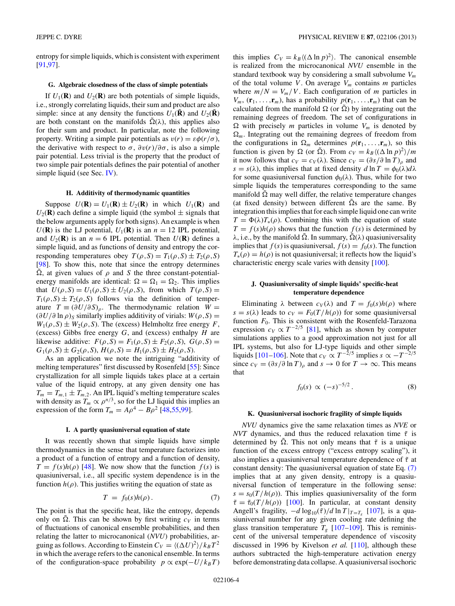<span id="page-3-0"></span>entropy for simple liquids, which is consistent with experiment [\[91,97\]](#page-7-0).

## **G. Algebraic closedness of the class of simple potentials**

If  $U_1(\mathbf{R})$  and  $U_2(\mathbf{R})$  are both potentials of simple liquids, i.e., strongly correlating liquids, their sum and product are also simple: since at any density the functions  $U_1(\mathbf{R})$  and  $U_2(\mathbf{R})$ are both constant on the manifolds  $\tilde{\Omega}(\lambda)$ , this applies also for their sum and product. In particular, note the following property. Writing a simple pair potentials as  $v(r) = \varepsilon \phi(r/\sigma)$ , the derivative with respect to  $\sigma$ ,  $\frac{\partial v(r)}{\partial \sigma}$ , is also a simple pair potential. Less trivial is the property that the product of two simple pair potentials defines the pair potential of another simple liquid (see Sec. [IV\)](#page-5-0).

#### **H. Additivity of thermodynamic quantities**

Suppose  $U(\mathbf{R}) = U_1(\mathbf{R}) \pm U_2(\mathbf{R})$  in which  $U_1(\mathbf{R})$  and  $U_2(\mathbf{R})$  each define a simple liquid (the symbol  $\pm$  signals that the below arguments apply for both signs). An example is when  $U(\mathbf{R})$  is the LJ potential,  $U_1(\mathbf{R})$  is an  $n = 12$  IPL potential, and  $U_2(\mathbf{R})$  is an  $n = 6$  IPL potential. Then  $U(\mathbf{R})$  defines a simple liquid, and as functions of density and entropy the corresponding temperatures obey  $T(\rho, S) = T_1(\rho, S) \pm T_2(\rho, S)$ [\[98\]](#page-7-0). To show this, note that since the entropy determines  $\Omega$ , at given values of  $\rho$  and *S* the three constant-potentialenergy manifolds are identical:  $\Omega = \Omega_1 = \Omega_2$ . This implies that  $U(\rho, S) = U_1(\rho, S) \pm U_2(\rho, S)$ , from which  $T(\rho, S) =$  $T_1(\rho, S) \pm T_2(\rho, S)$  follows via the definition of temperature  $T \equiv (\partial U/\partial S)_{\rho}$ . The thermodynamic relation  $W =$  $(\partial U/\partial \ln \rho)_S$  similarly implies additivity of virials:  $W(\rho, S)$  =  $W_1(\rho, S) \pm W_2(\rho, S)$ . The (excess) Helmholtz free energy *F*, (excess) Gibbs free energy *G*, and (excess) enthalpy *H* are likewise additive:  $F(\rho, S) = F_1(\rho, S) \pm F_2(\rho, S), G(\rho, S) =$  $G_1(\rho, S) \pm G_2(\rho, S), H(\rho, S) = H_1(\rho, S) \pm H_2(\rho, S).$ 

As an application we note the intriguing "additivity of melting temperatures" first discussed by Rosenfeld [\[55\]](#page-7-0): Since crystallization for all simple liquids takes place at a certain value of the liquid entropy, at any given density one has  $T_m = T_{m,1} \pm T_{m,2}$ . An IPL liquid's melting temperature scales with density as  $T_m \propto \rho^{n/3}$ , so for the LJ liquid this implies an expression of the form  $T_m = A\rho^4 - B\rho^2$  [\[48,55,99\]](#page-7-0).

#### **I. A partly quasiuniversal equation of state**

It was recently shown that simple liquids have simple thermodynamics in the sense that temperature factorizes into a product of a function of entropy and a function of density,  $T = f(s)h(\rho)$  [\[48\]](#page-7-0). We now show that the function  $f(s)$  is quasiuniversal, i.e., all specific system dependence is in the function  $h(\rho)$ . This justifies writing the equation of state as

$$
T = f_0(s)h(\rho).
$$
 (7)

The point is that the specific heat, like the entropy, depends only on  $\tilde{\Omega}$ . This can be shown by first writing  $c_V$  in terms of fluctuations of canonical ensemble probabilities, and then relating the latter to microcanonical (*NVU*) probabilities, arguing as follows. According to Einstein  $C_V = \langle (\Delta U)^2 \rangle / k_B T^2$ in which the average refers to the canonical ensemble. In terms of the configuration-space probability  $p \propto \exp(-U/k_BT)$ 

this implies  $C_V = k_B \langle (\Delta \ln p)^2 \rangle$ . The canonical ensemble is realized from the microcanonical *NVU* ensemble in the standard textbook way by considering a small subvolume *Vm* of the total volume  $V$ . On average  $V_m$  contains  $m$  particles where  $m/N = V_m/V$ . Each configuration of *m* particles in  $V_m$ ,  $(\mathbf{r}_1, \ldots, \mathbf{r}_m)$ , has a probability  $p(\mathbf{r}_1, \ldots, \mathbf{r}_m)$  that can be calculated from the manifold  $\Omega$  (or  $\Omega$ ) by integrating out the remaining degrees of freedom. The set of configurations in  $\Omega$  with precisely *m* particles in volume  $V_m$  is denoted by  $\Omega_m$ . Integrating out the remaining degrees of freedom from the configurations in  $\Omega_m$  determines  $p(\mathbf{r}_1, \ldots, \mathbf{r}_m)$ , so this function is given by  $\Omega$  (or  $\tilde{\Omega}$ ). From  $c_V = k_B \langle (\Delta \ln p)^2 \rangle / m$ it now follows that  $c_V = c_V(\lambda)$ . Since  $c_V = (\partial s / \partial \ln T)_\rho$  and  $s = s(\lambda)$ , this implies that at fixed density *d* ln  $T = \phi_0(\lambda) d\lambda$ for some quasiuniversal function  $\phi_0(\lambda)$ . Thus, while for two simple liquids the temperatures corresponding to the same manifold  $\tilde{\Omega}$  may well differ, the relative temperature changes (at fixed density) between different  $\Omega$ s are the same. By integration this implies that for each simple liquid one can write  $T = \Phi(\lambda) T_*(\rho)$ . Combining this with the equation of state  $T = f(s)h(\rho)$  shows that the function  $f(s)$  is determined by  $λ$ , i.e., by the manifold  $\tilde{Ω}$ . In summary,  $\tilde{Ω} (λ)$  quasiuniversality implies that  $f(s)$  is quasiuniversal,  $f(s) = f_0(s)$ . The function  $T_*(\rho) = h(\rho)$  is not quasiuniversal; it reflects how the liquid's characteristic energy scale varies with density [\[100\]](#page-7-0).

## **J. Quasiuniversality of simple liquids' specific-heat temperature dependence**

Eliminating  $\lambda$  between  $c_V(\lambda)$  and  $T = f_0(s)h(\rho)$  where  $s = s(\lambda)$  leads to  $c_V = F_0(T/h(\rho))$  for some quasiuniversal function  $F_0$ . This is consistent with the Rosenfeld-Tarazona expression  $c_V \propto T^{-2/5}$  [\[81\]](#page-7-0), which as shown by computer simulations applies to a good approximation not just for all IPL systems, but also for LJ-type liquids and other simple liquids [\[101–106\]](#page-7-0). Note that  $c_V \propto T^{-2/5}$  implies  $s \propto -T^{-2/5}$ since  $c_V = (\partial s/\partial \ln T)_\rho$  and  $s \to 0$  for  $T \to \infty$ . This means that

$$
f_0(s) \propto (-s)^{-5/2}.
$$
 (8)

#### **K. Quasiuniversal isochoric fragility of simple liquids**

*NVU* dynamics give the same relaxation times as *NVE* or *NVT* dynamics, and thus the reduced relaxation time  $\tilde{\tau}$  is determined by  $\Omega$ . This not only means that  $\tilde{\tau}$  is a unique function of the excess entropy ("excess entropy scaling"), it also implies a quasiuniversal temperature dependence of ˜*τ* at constant density: The quasiuniversal equation of state Eq. (7) implies that at any given density, entropy is a quasiuniversal function of temperature in the following sense:  $s = s_0(T/h(\rho))$ . This implies quasiuniversality of the form  $\tilde{\tau} = \tilde{\tau}_0(T/h(\rho))$  [\[100\]](#page-7-0). In particular, at constant density Angell's fragility,  $-d \log_{10}(\tilde{\tau})/d \ln T |_{T=T_e}$  [\[107\]](#page-7-0), is a quasiuniversal number for any given cooling rate defining the glass transition temperature  $T_g$  [\[107–109\]](#page-7-0). This is reminiscent of the universal temperature dependence of viscosity discussed in 1996 by Kivelson *et al.* [\[110\]](#page-7-0), although these authors subtracted the high-temperature activation energy before demonstrating data collapse. A quasiuniversal isochoric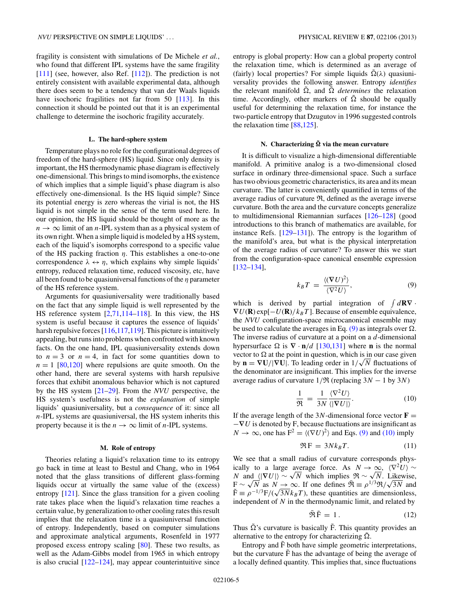fragility is consistent with simulations of De Michele *et al.*, who found that different IPL systems have the same fragility  $[111]$  (see, however, also Ref.  $[112]$ ). The prediction is not entirely consistent with available experimental data, although there does seem to be a tendency that van der Waals liquids have isochoric fragilities not far from 50 [\[113\]](#page-7-0). In this connection it should be pointed out that it is an experimental challenge to determine the isochoric fragility accurately.

#### **L. The hard-sphere system**

Temperature plays no role for the configurational degrees of freedom of the hard-sphere (HS) liquid. Since only density is important, the HS thermodynamic phase diagram is effectively one-dimensional. This brings to mind isomorphs, the existence of which implies that a simple liquid's phase diagram is also effectively one-dimensional. Is the HS liquid simple? Since its potential energy is zero whereas the virial is not, the HS liquid is not simple in the sense of the term used here. In our opinion, the HS liquid should be thought of more as the  $n \to \infty$  limit of an *n*-IPL system than as a physical system of its own right. When a simple liquid is modeled by a HS system, each of the liquid's isomorphs correspond to a specific value of the HS packing fraction *η*. This establishes a one-to-one correspondence  $\lambda \leftrightarrow \eta$ , which explains why simple liquids' entropy, reduced relaxation time, reduced viscosity, etc, have all been found to be quasiuniversal functions of the *η* parameter of the HS reference system.

Arguments for quasiuniversality were traditionally based on the fact that any simple liquid is well represented by the HS reference system [\[2](#page-6-0)[,71,114](#page-7-0)[–118\]](#page-8-0). In this view, the HS system is useful because it captures the essence of liquids' harsh repulsive forces [\[116,117,119\]](#page-8-0). This picture is intuitively appealing, but runs into problems when confronted with known facts. On the one hand, IPL quasiuniversality extends down to  $n = 3$  or  $n = 4$ , in fact for some quantities down to  $n = 1$  [\[80,](#page-7-0)[120\]](#page-8-0) where repulsions are quite smooth. On the other hand, there are several systems with harsh repulsive forces that exhibit anomalous behavior which is not captured by the HS system [\[21–29\]](#page-6-0). From the *NVU* perspective, the HS system's usefulness is not the *explanation* of simple liquids' quasiuniversality, but a *consequence* of it: since all *n*-IPL systems are quasiuniversal, the HS system inherits this property because it is the  $n \to \infty$  limit of *n*-IPL systems.

#### **M. Role of entropy**

Theories relating a liquid's relaxation time to its entropy go back in time at least to Bestul and Chang, who in 1964 noted that the glass transitions of different glass-forming liquids occur at virtually the same value of the (excess) entropy [\[121\]](#page-8-0). Since the glass transition for a given cooling rate takes place when the liquid's relaxation time reaches a certain value, by generalization to other cooling rates this result implies that the relaxation time is a quasiuniversal function of entropy. Independently, based on computer simulations and approximate analytical arguments, Rosenfeld in 1977 proposed excess entropy scaling [\[80\]](#page-7-0). These two results, as well as the Adam-Gibbs model from 1965 in which entropy is also crucial  $[122-124]$ , may appear counterintuitive since

entropy is global property: How can a global property control the relaxation time, which is determined as an average of (fairly) local properties? For simple liquids  $\tilde{\Omega}(\lambda)$  quasiuniversality provides the following answer. Entropy *identifies* the relevant manifold  $\tilde{\Omega}$ , and  $\tilde{\Omega}$  *determines* the relaxation time. Accordingly, other markers of  $\tilde{\Omega}$  should be equally useful for determining the relaxation time, for instance the two-particle entropy that Dzugutov in 1996 suggested controls the relaxation time [\[88](#page-7-0)[,125\]](#page-8-0).

# **N.** Characterizing  $\tilde{\Omega}$  via the mean curvature

It is difficult to visualize a high-dimensional differentiable manifold. A primitive analog is a two-dimensional closed surface in ordinary three-dimensional space. Such a surface has two obvious geometric characteristics, its area and its mean curvature. The latter is conveniently quantified in terms of the average radius of curvature  $\mathfrak{R}$ , defined as the average inverse curvature. Both the area and the curvature concepts generalize to multidimensional Riemannian surfaces [\[126–128\]](#page-8-0) (good introductions to this branch of mathematics are available, for instance Refs. [\[129–131\]](#page-8-0)). The entropy is the logarithm of the manifold's area, but what is the physical interpretation of the average radius of curvature? To answer this we start from the configuration-space canonical ensemble expression [\[132–134\]](#page-8-0),

$$
k_B T = \frac{\langle (\nabla U)^2 \rangle}{\langle \nabla^2 U \rangle},\tag{9}
$$

which is derived by partial integration of  $\int d\mathbf{R}\nabla \cdot$  $\nabla U(\mathbf{R}) \exp[-U(\mathbf{R})/k_B T]$ . Because of ensemble equivalence, the *NVU* configuration-space microcanonical ensemble may be used to calculate the averages in Eq. (9) as integrals over  $\Omega$ . The inverse radius of curvature at a point on a *d*-dimensional hypersurface  $\Omega$  is  $\nabla \cdot \mathbf{n}/d$  [\[130,131\]](#page-8-0) where **n** is the normal vector to  $\Omega$  at the point in question, which is in our case given by  $\mathbf{n} = \nabla \mathbf{U}/|\nabla \mathbf{U}|$ . To leading order in  $1/\sqrt{N}$  fluctuations of the denominator are insignificant. This implies for the inverse average radius of curvature  $1/\Re$  (replacing  $3N - 1$  by  $3N$ )

$$
\frac{1}{\Re} = \frac{1}{3N} \frac{\langle \nabla^2 U \rangle}{\langle |\nabla U| \rangle}.
$$
 (10)

If the average length of the  $3N$ -dimensional force vector  $\mathbf{F} =$ −**∇***U* is denoted by F, because fluctuations are insignificant as  $N \to \infty$ , one has  $F^2 = \langle (\nabla U)^2 \rangle$  and Eqs. (9) and (10) imply

$$
\Re F = 3Nk_B T. \tag{11}
$$

We see that a small radius of curvature corresponds physically to a large average force. As  $N \to \infty$ ,  $\langle \nabla^2 U \rangle \sim$ *N* and  $\langle |\nabla U| \rangle \sim \sqrt{N}$  which implies  $\Re \sim \sqrt{N}$ . Likewise, *N* and  $\langle |VU| \rangle \sim \sqrt{N}$  which implies  $\mathfrak{R} \sim \sqrt{N}$ . Likewise,<br> $F \sim \sqrt{N}$  as  $N \to \infty$ . If one defines  $\tilde{\mathfrak{R}} \equiv \rho^{1/3} \mathfrak{R} / \sqrt{3N}$  and  $F \sim \sqrt{N}$  as  $N \to \infty$ . If one defines  $\mathcal{H} \equiv \rho^{1/3} \mathcal{H} / \sqrt{3} N$  and  $\tilde{F} \equiv \rho^{-1/3} F / (\sqrt{3} N k_B T)$ , these quantities are dimensionless, independent of *N* in the thermodynamic limit, and related by

$$
\tilde{\mathfrak{R}}\tilde{\mathbf{F}} = 1. \tag{12}
$$

Thus  $\tilde{\Omega}$ 's curvature is basically  $\tilde{F}$ . This quantity provides an alternative to the entropy for characterizing  $\tilde{\Omega}$ .

Entropy and  $\tilde{F}$  both have simple geometric interpretations, but the curvature  $\tilde{F}$  has the advantage of being the average of a locally defined quantity. This implies that, since fluctuations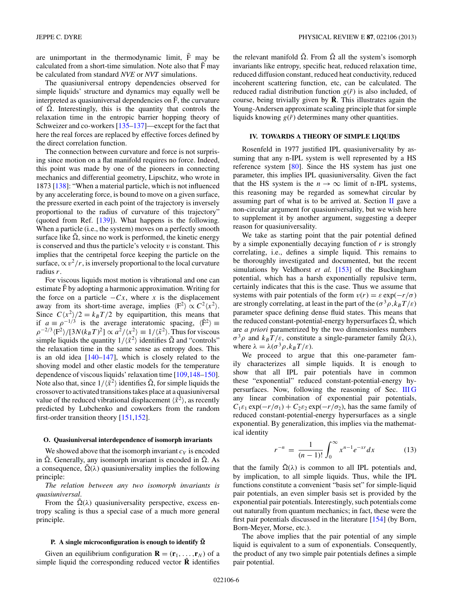<span id="page-5-0"></span>are unimportant in the thermodynamic limit,  $\tilde{F}$  may be calculated from a short-time simulation. Note also that  $\tilde{F}$  may be calculated from standard *NVE* or *NVT* simulations.

The quasiuniversal entropy dependencies observed for simple liquids' structure and dynamics may equally well be interpreted as quasiuniversal dependencies on  $\tilde{F}$ , the curvature of  $\Omega$ . Interestingly, this is the quantity that controls the relaxation time in the entropic barrier hopping theory of Schweizer and co-workers [\[135–137\]](#page-8-0)—except for the fact that here the real forces are replaced by effective forces defined by the direct correlation function.

The connection between curvature and force is not surprising since motion on a flat manifold requires no force. Indeed, this point was made by one of the pioneers in connecting mechanics and differential geometry, Lipschitz, who wrote in 1873 [\[138\]](#page-8-0): "When a material particle, which is not influenced by any accelerating force, is bound to move on a given surface, the pressure exerted in each point of the trajectory is inversely proportional to the radius of curvature of this trajectory" (quoted from Ref.  $[139]$ ). What happens is the following. When a particle (i.e., the system) moves on a perfectly smooth surface like  $\Omega$ , since no work is performed, the kinetic energy is conserved and thus the particle's velocity *v* is constant. This implies that the centripetal force keeping the particle on the surface,  $\propto v^2/r$ , is inversely proportional to the local curvature radius *r*.

For viscous liquids most motion is vibrational and one can estimate  $\tilde{F}$  by adopting a harmonic approximation. Writing for the force on a particle  $-Cx$ , where *x* is the displacement away from its short-time average, implies  $\langle F^2 \rangle \propto C^2 \langle x^2 \rangle$ . Since  $C\langle x^2 \rangle/2 = k_B T/2$  by equipartition, this means that if  $a \equiv \rho^{-1/3}$  is the average interatomic spacing,  $\langle \tilde{F}^2 \rangle \equiv$  $\rho^{-2/3}\langle F^2 \rangle/[3N(k_BT)^2] \propto a^2/\langle x^2 \rangle \equiv 1/\langle \tilde{x}^2 \rangle$ . Thus for viscous simple liquids the quantity  $1/\langle \tilde{x}^2 \rangle$  identifies  $\tilde{\Omega}$  and "controls" the relaxation time in the same sense as entropy does. This is an old idea [\[140–147\]](#page-8-0), which is closely related to the shoving model and other elastic models for the temperature dependence of viscous liquids' relaxation time [\[109](#page-7-0)[,148–150\]](#page-8-0). Note also that, since  $1/\langle \tilde{x}^2 \rangle$  identifies  $\tilde{\Omega}$ , for simple liquids the crossover to activated transitions takes place at a quasiuniversal value of the reduced vibrational displacement  $\langle \tilde{x}^2 \rangle$ , as recently predicted by Lubchenko and coworkers from the random first-order transition theory [\[151,152\]](#page-8-0).

#### **O. Quasiuniversal interdependence of isomorph invariants**

We showed above that the isomorph invariant  $c_V$  is encoded in  $\Omega$ . Generally, any isomorph invariant is encoded in  $\Omega$ . As a consequence,  $\tilde{\Omega}(\lambda)$  quasiuniversality implies the following principle:

*The relation between any two isomorph invariants is quasiuniversal*.

From the  $\Omega(\lambda)$  quasiuniversality perspective, excess entropy scaling is thus a special case of a much more general principle.

# **P.** A single microconfiguration is enough to identify  $\tilde{\Omega}$

Given an equilibrium configuration  $\mathbf{R} = (\mathbf{r}_1, \dots, \mathbf{r}_N)$  of a simple liquid the corresponding reduced vector  $\tilde{\mathbf{R}}$  identifies

the relevant manifold  $\tilde{\Omega}$ . From  $\tilde{\Omega}$  all the system's isomorph invariants like entropy, specific heat, reduced relaxation time, reduced diffusion constant, reduced heat conductivity, reduced incoherent scattering function, etc, can be calculated. The reduced radial distribution function  $g(\tilde{r})$  is also included, of course, being trivially given by  $\tilde{\mathbf{R}}$ . This illustrates again the Young-Andersen approximate scaling principle that for simple liquids knowing  $g(\tilde{r})$  determines many other quantities.

## **IV. TOWARDS A THEORY OF SIMPLE LIQUIDS**

Rosenfeld in 1977 justified IPL quasiuniversality by assuming that any n-IPL system is well represented by a HS reference system [\[80\]](#page-7-0). Since the HS system has just one parameter, this implies IPL quasiuniversality. Given the fact that the HS system is the  $n \to \infty$  limit of n-IPL systems, this reasoning may be regarded as somewhat circular by assuming part of what is to be arrived at. Section  $\Pi$  gave a non-circular argument for quasiuniversality, but we wish here to supplement it by another argument, suggesting a deeper reason for quasiuniversality.

We take as starting point that the pair potential defined by a simple exponentially decaying function of *r* is strongly correlating, i.e., defines a simple liquid. This remains to be thoroughly investigated and documented, but the recent simulations by Veldhorst *et al.* [\[153\]](#page-8-0) of the Buckingham potential, which has a harsh exponentially repulsive term, certainly indicates that this is the case. Thus we assume that systems with pair potentials of the form  $v(r) = \varepsilon \exp(-r/\sigma)$ are strongly correlating, at least in the part of the  $(\sigma^3 \rho, k_B T/\varepsilon)$ parameter space defining dense fluid states. This means that the reduced constant-potential-energy hypersurfaces  $\tilde{\Omega}$ , which are *a priori* parametrized by the two dimensionless numbers *σ*<sup>3</sup>*ρ* and *k<sub>B</sub>T/ε*, constitute a single-parameter family  $\tilde{\Omega}(\lambda)$ , where  $\lambda = \lambda (\sigma^3 \rho, k_B T/\varepsilon)$ .

We proceed to argue that this one-parameter family characterizes all simple liquids. It is enough to show that all IPL pair potentials have in common these "exponential" reduced constant-potential-energy hypersurfaces. Now, following the reasoning of Sec. [III G](#page-3-0) any linear combination of exponential pair potentials,  $C_1\varepsilon_1 \exp(-r/\sigma_1) + C_2\varepsilon_2 \exp(-r/\sigma_2)$ , has the same family of reduced constant-potential-energy hypersurfaces as a single exponential. By generalization, this implies via the mathematical identity

$$
r^{-n} = \frac{1}{(n-1)!} \int_0^\infty x^{n-1} e^{-xr} dx \tag{13}
$$

that the family  $\tilde{\Omega}(\lambda)$  is common to all IPL potentials and, by implication, to all simple liquids. Thus, while the IPL functions constitute a convenient "basis set" for simple-liquid pair potentials, an even simpler basis set is provided by the exponential pair potentials. Interestingly, such potentials come out naturally from quantum mechanics; in fact, these were the first pair potentials discussed in the literature [\[154\]](#page-8-0) (by Born, Born-Meyer, Morse, etc.).

The above implies that the pair potential of any simple liquid is equivalent to a sum of exponentials. Consequently, the product of any two simple pair potentials defines a simple pair potential.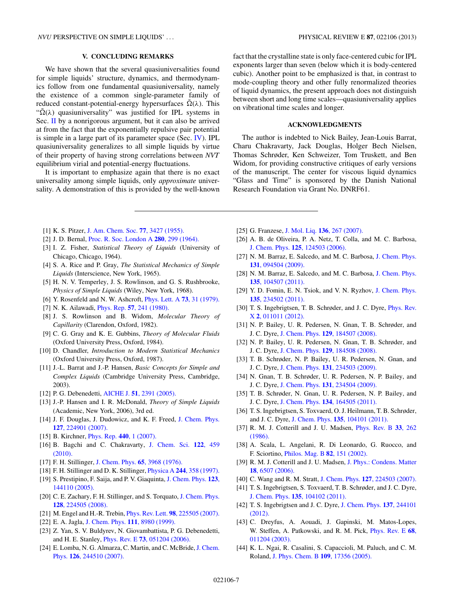## **V. CONCLUDING REMARKS**

<span id="page-6-0"></span>We have shown that the several quasiuniversalities found for simple liquids' structure, dynamics, and thermodynamics follow from one fundamental quasiuniversality, namely the existence of a common single-parameter family of reduced constant-potential-energy hypersurfaces  $\tilde{\Omega}(\lambda)$ . This " $\tilde{\Omega}(\lambda)$  quasiuniversality" was justified for IPL systems in Sec. [II](#page-1-0) by a nonrigorous argument, but it can also be arrived at from the fact that the exponentially repulsive pair potential is simple in a large part of its parameter space (Sec. [IV\)](#page-5-0). IPL quasiuniversality generalizes to all simple liquids by virtue of their property of having strong correlations between *NVT* equilibrium virial and potential-energy fluctuations.

It is important to emphasize again that there is no exact universality among simple liquids, only *approximate* universality. A demonstration of this is provided by the well-known

fact that the crystalline state is only face-centered cubic for IPL exponents larger than seven (below which it is body-centered cubic). Another point to be emphasized is that, in contrast to mode-coupling theory and other fully renormalized theories of liquid dynamics, the present approach does not distinguish between short and long time scales—quasiuniversality applies on vibrational time scales and longer.

## **ACKNOWLEDGMENTS**

The author is indebted to Nick Bailey, Jean-Louis Barrat, Charu Chakravarty, Jack Douglas, Holger Bech Nielsen, Thomas Schrøder, Ken Schweizer, Tom Truskett, and Ben Widom, for providing constructive critiques of early versions of the manuscript. The center for viscous liquid dynamics "Glass and Time" is sponsored by the Danish National Research Foundation via Grant No. DNRF61.

- [1] K. S. Pitzer, [J. Am. Chem. Soc.](http://dx.doi.org/10.1021/ja01618a001) **77**, 3427 (1955).
- [2] J. D. Bernal, [Proc. R. Soc. London A](http://dx.doi.org/10.1098/rspa.1964.0147) **280**, 299 (1964).
- [3] I. Z. Fisher, *Statistical Theory of Liquids* (University of Chicago, Chicago, 1964).
- [4] S. A. Rice and P. Gray, *The Statistical Mechanics of Simple Liquids* (Interscience, New York, 1965).
- [5] H. N. V. Temperley, J. S. Rowlinson, and G. S. Rushbrooke, *Physics of Simple Liquids* (Wiley, New York, 1968).
- [6] Y. Rosenfeld and N. W. Ashcroft, [Phys. Lett. A](http://dx.doi.org/10.1016/0375-9601(79)90741-2) **73**, 31 (1979).
- [7] N. K. Ailawadi, Phys. Rep. **57**[, 241 \(1980\).](http://dx.doi.org/10.1016/0370-1573(80)90063-0)
- [8] J. S. Rowlinson and B. Widom, *Molecular Theory of Capillarity* (Clarendon, Oxford, 1982).
- [9] C. G. Gray and K. E. Gubbins, *Theory of Molecular Fluids* (Oxford University Press, Oxford, 1984).
- [10] D. Chandler, *Introduction to Modern Statistical Mechanics* (Oxford University Press, Oxford, 1987).
- [11] J.-L. Barrat and J.-P. Hansen, *Basic Concepts for Simple and Complex Liquids* (Cambridge University Press, Cambridge, 2003).
- [12] P. G. Debenedetti, AICHE J. **51**[, 2391 \(2005\).](http://dx.doi.org/10.1002/aic.10657)
- [13] J.-P. Hansen and I. R. McDonald, *Theory of Simple Liquids* (Academic, New York, 2006), 3rd ed.
- [14] J. F. Douglas, J. Dudowicz, and K. F. Freed, [J. Chem. Phys.](http://dx.doi.org/10.1063/1.2785187) **127**[, 224901 \(2007\).](http://dx.doi.org/10.1063/1.2785187)
- [15] B. Kirchner, [Phys. Rep.](http://dx.doi.org/10.1016/j.physrep.2006.11.005) **440**, 1 (2007).
- [16] B. Bagchi and C. Chakravarty, [J. Chem. Sci.](http://dx.doi.org/10.1007/s12039-010-0081-0) **122**, 459 [\(2010\).](http://dx.doi.org/10.1007/s12039-010-0081-0)
- [17] F. H. Stillinger, [J. Chem. Phys.](http://dx.doi.org/10.1063/1.432891) **65**, 3968 (1976).
- [18] F. H. Stillinger and D. K. Stillinger, Physica A **244**[, 358 \(1997\).](http://dx.doi.org/10.1016/S0378-4371(97)00246-X)
- [19] S. Prestipino, F. Saija, and P. V. Giaquinta, [J. Chem. Phys.](http://dx.doi.org/10.1063/1.2064639) **123**, [144110 \(2005\).](http://dx.doi.org/10.1063/1.2064639)
- [20] C. E. Zachary, F. H. Stillinger, and S. Torquato, [J. Chem. Phys.](http://dx.doi.org/10.1063/1.2928843) **128**[, 224505 \(2008\).](http://dx.doi.org/10.1063/1.2928843)
- [21] M. Engel and H.-R. Trebin, Phys. Rev. Lett. **98**[, 225505 \(2007\).](http://dx.doi.org/10.1103/PhysRevLett.98.225505)
- [22] E. A. Jagla, [J. Chem. Phys.](http://dx.doi.org/10.1063/1.480241) **111**, 8980 (1999).
- [23] Z. Yan, S. V. Buldyrev, N. Giovambattista, P. G. Debenedetti, and H. E. Stanley, Phys. Rev. E **73**[, 051204 \(2006\).](http://dx.doi.org/10.1103/PhysRevE.73.051204)
- [24] E. Lomba, N. G. Almarza, C. Martin, and C. McBride, [J. Chem.](http://dx.doi.org/10.1063/1.2748043) Phys. **126**[, 244510 \(2007\).](http://dx.doi.org/10.1063/1.2748043)
- [25] G. Franzese, J. Mol. Liq. **136**[, 267 \(2007\).](http://dx.doi.org/10.1016/j.molliq.2007.08.021)
- [26] A. B. de Oliveira, P. A. Netz, T. Colla, and M. C. Barbosa, J. Chem. Phys. **125**[, 124503 \(2006\).](http://dx.doi.org/10.1063/1.2357119)
- [27] N. M. Barraz, E. Salcedo, and M. C. Barbosa, [J. Chem. Phys.](http://dx.doi.org/10.1063/1.3213615) **131**[, 094504 \(2009\).](http://dx.doi.org/10.1063/1.3213615)
- [28] N. M. Barraz, E. Salcedo, and M. C. Barbosa, [J. Chem. Phys.](http://dx.doi.org/10.1063/1.3630941) **135**[, 104507 \(2011\).](http://dx.doi.org/10.1063/1.3630941)
- [29] Y. D. Fomin, E. N. Tsiok, and V. N. Ryzhov, [J. Chem. Phys.](http://dx.doi.org/10.1063/1.3668313) **135**[, 234502 \(2011\).](http://dx.doi.org/10.1063/1.3668313)
- [30] T. S. Ingebrigtsen, T. B. Schrøder, and J. C. Dyre, *[Phys. Rev.](http://dx.doi.org/10.1103/PhysRevX.2.011011)* X **2**[, 011011 \(2012\).](http://dx.doi.org/10.1103/PhysRevX.2.011011)
- [31] N. P. Bailey, U. R. Pedersen, N. Gnan, T. B. Schrøder, and J. C. Dyre, J. Chem. Phys. **129**[, 184507 \(2008\).](http://dx.doi.org/10.1063/1.2982247)
- [32] N. P. Bailey, U. R. Pedersen, N. Gnan, T. B. Schrøder, and J. C. Dyre, J. Chem. Phys. **129**[, 184508 \(2008\).](http://dx.doi.org/10.1063/1.2982249)
- [33] T. B. Schrøder, N. P. Bailey, U. R. Pedersen, N. Gnan, and J. C. Dyre, J. Chem. Phys. **131**[, 234503 \(2009\).](http://dx.doi.org/10.1063/1.3265955)
- [34] N. Gnan, T. B. Schrøder, U. R. Pedersen, N. P. Bailey, and J. C. Dyre, J. Chem. Phys. **131**[, 234504 \(2009\).](http://dx.doi.org/10.1063/1.3265957)
- [35] T. B. Schrøder, N. Gnan, U. R. Pedersen, N. P. Bailey, and J. C. Dyre, J. Chem. Phys. **134**[, 164505 \(2011\).](http://dx.doi.org/10.1063/1.3582900)
- [36] T. S. Ingebrigtsen, S. Toxvaerd, O. J. Heilmann, T. B. Schrøder, and J. C. Dyre, J. Chem. Phys. **135**[, 104101 \(2011\).](http://dx.doi.org/10.1063/1.3623585)
- [37] R. M. J. Cotterill and J. U. Madsen, [Phys. Rev. B](http://dx.doi.org/10.1103/PhysRevB.33.262) **33**, 262 [\(1986\).](http://dx.doi.org/10.1103/PhysRevB.33.262)
- [38] A. Scala, L. Angelani, R. Di Leonardo, G. Ruocco, and F. Sciortino, [Philos. Mag. B](http://dx.doi.org/10.1080/13642810208208538) **82**, 151 (2002).
- [39] R. M. J. Cotterill and J. U. Madsen, [J. Phys.: Condens. Matter](http://dx.doi.org/10.1088/0953-8984/18/28/006) **18**[, 6507 \(2006\).](http://dx.doi.org/10.1088/0953-8984/18/28/006)
- [40] C. Wang and R. M. Stratt, J. Chem. Phys. **127**[, 224503 \(2007\).](http://dx.doi.org/10.1063/1.2801994)
- [41] T. S. Ingebrigtsen, S. Toxvaerd, T. B. Schrøder, and J. C. Dyre, J. Chem. Phys. **135**[, 104102 \(2011\).](http://dx.doi.org/10.1063/1.3623586)
- [42] T. S. Ingebrigtsen and J. C. Dyre, [J. Chem. Phys.](http://dx.doi.org/10.1063/1.4768957) **137**, 244101 [\(2012\).](http://dx.doi.org/10.1063/1.4768957)
- [43] C. Dreyfus, A. Aouadi, J. Gapinski, M. Matos-Lopes, W. Steffen, A. Patkowski, and R. M. Pick, [Phys. Rev. E](http://dx.doi.org/10.1103/PhysRevE.68.011204) **68**, [011204 \(2003\).](http://dx.doi.org/10.1103/PhysRevE.68.011204)
- [44] K. L. Ngai, R. Casalini, S. Capaccioli, M. Paluch, and C. M. Roland, [J. Phys. Chem. B](http://dx.doi.org/10.1021/jp053439s) **109**, 17356 (2005).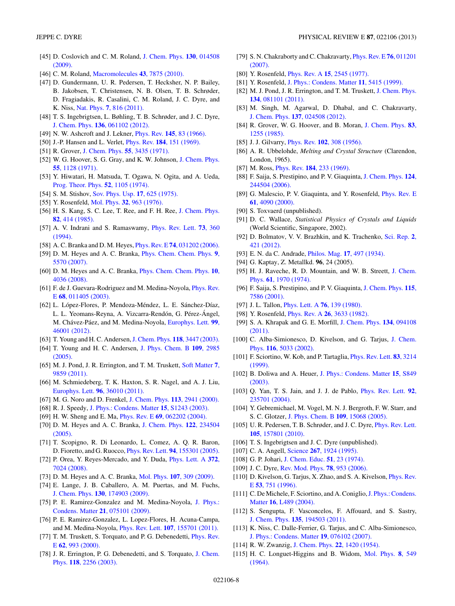- <span id="page-7-0"></span>[45] D. Coslovich and C. M. Roland, [J. Chem. Phys.](http://dx.doi.org/10.1063/1.3054635) **130**, 014508 [\(2009\).](http://dx.doi.org/10.1063/1.3054635)
- [46] C. M. Roland, [Macromolecules](http://dx.doi.org/10.1021/ma101649u) **43**, 7875 (2010).
- [47] D. Gundermann, U. R. Pedersen, T. Hecksher, N. P. Bailey, B. Jakobsen, T. Christensen, N. B. Olsen, T. B. Schrøder, D. Fragiadakis, R. Casalini, C. M. Roland, J. C. Dyre, and K. Niss, Nat. Phys. **7**[, 816 \(2011\).](http://dx.doi.org/10.1038/nphys2031)
- [48] T. S. Ingebrigtsen, L. Bøhling, T. B. Schrøder, and J. C. Dyre, J. Chem. Phys. **136**[, 061102 \(2012\).](http://dx.doi.org/10.1063/1.3685804)
- [49] N. W. Ashcroft and J. Lekner, Phys. Rev. **145**[, 83 \(1966\).](http://dx.doi.org/10.1103/PhysRev.145.83)
- [50] J.-P. Hansen and L. Verlet, Phys. Rev. **184**[, 151 \(1969\).](http://dx.doi.org/10.1103/PhysRev.184.151)
- [51] R. Grover, [J. Chem. Phys.](http://dx.doi.org/10.1063/1.1676596) **55**, 3435 (1971).
- [52] W. G. Hoover, S. G. Gray, and K. W. Johnson, [J. Chem. Phys.](http://dx.doi.org/10.1063/1.1676196) **55**[, 1128 \(1971\).](http://dx.doi.org/10.1063/1.1676196)
- [53] Y. Hiwatari, H. Matsuda, T. Ogawa, N. Ogita, and A. Ueda, [Prog. Theor. Phys.](http://dx.doi.org/10.1143/PTP.52.1105) **52**, 1105 (1974).
- [54] S. M. Stishov, [Sov. Phys. Usp.](http://dx.doi.org/10.1070/PU1975v017n05ABEH004361) **17**, 625 (1975).
- [55] Y. Rosenfeld, Mol. Phys. **32**[, 963 \(1976\).](http://dx.doi.org/10.1080/00268977600102381)
- [56] H. S. Kang, S. C. Lee, T. Ree, and F. H. Ree, [J. Chem. Phys.](http://dx.doi.org/10.1063/1.448762) **82**[, 414 \(1985\).](http://dx.doi.org/10.1063/1.448762)
- [57] A. V. Indrani and S. Ramaswamy, [Phys. Rev. Lett.](http://dx.doi.org/10.1103/PhysRevLett.73.360) **73**, 360 [\(1994\).](http://dx.doi.org/10.1103/PhysRevLett.73.360)
- [58] A. C. Branka and D. M. Heyes, Phys. Rev. E **74**[, 031202 \(2006\).](http://dx.doi.org/10.1103/PhysRevE.74.031202)
- [59] D. M. Heyes and A. C. Branka, [Phys. Chem. Chem. Phys.](http://dx.doi.org/10.1039/b709053f) **9**, [5570 \(2007\).](http://dx.doi.org/10.1039/b709053f)
- [60] D. M. Heyes and A. C. Branka, [Phys. Chem. Chem. Phys.](http://dx.doi.org/10.1039/b802916d) **10**, [4036 \(2008\).](http://dx.doi.org/10.1039/b802916d)
- [61] F. de J. Guevara-Rodriguez and M. Medina-Noyola, [Phys. Rev.](http://dx.doi.org/10.1103/PhysRevE.68.011405) E **68**[, 011405 \(2003\).](http://dx.doi.org/10.1103/PhysRevE.68.011405)
- [62] L. López-Flores, P. Mendoza-Méndez, L. E. Sánchez-Díaz, L. L. Yeomans-Reyna, A. Vizcarra-Rendón, G. Pérez-Ángel, M. Chávez-Páez, and M. Medina-Noyola, [Europhys. Lett.](http://dx.doi.org/10.1209/0295-5075/99/46001) 99, [46001 \(2012\).](http://dx.doi.org/10.1209/0295-5075/99/46001)
- [63] T. Young and H. C. Andersen,[J. Chem. Phys.](http://dx.doi.org/10.1063/1.1553757) **118**, 3447 (2003).
- [64] T. Young and H. C. Andersen, [J. Phys. Chem. B](http://dx.doi.org/10.1021/jp0454927) **109**, 2985 [\(2005\).](http://dx.doi.org/10.1021/jp0454927)
- [65] M. J. Pond, J. R. Errington, and T. M. Truskett, [Soft Matter](http://dx.doi.org/10.1039/c1sm06493b) **7**, [9859 \(2011\).](http://dx.doi.org/10.1039/c1sm06493b)
- [66] M. Schmiedeberg, T. K. Haxton, S. R. Nagel, and A. J. Liu, [Europhys. Lett.](http://dx.doi.org/10.1209/0295-5075/96/36010) **96**, 36010 (2011).
- [67] M. G. Noro and D. Frenkel, [J. Chem. Phys.](http://dx.doi.org/10.1063/1.1288684) **113**, 2941 (2000).
- [68] R. J. Speedy, [J. Phys.: Condens. Matter](http://dx.doi.org/10.1088/0953-8984/15/11/342) **15**, S1243 (2003).
- [69] H. W. Sheng and E. Ma, Phys. Rev. E **69**[, 062202 \(2004\).](http://dx.doi.org/10.1103/PhysRevE.69.062202)
- [70] D. M. Heyes and A. C. Branka, [J. Chem. Phys.](http://dx.doi.org/10.1063/1.1931668) **122**, 234504 [\(2005\).](http://dx.doi.org/10.1063/1.1931668)
- [71] T. Scopigno, R. Di Leonardo, L. Comez, A. Q. R. Baron, D. Fioretto, and G. Ruocco, Phys. Rev. Lett. **94**[, 155301 \(2005\).](http://dx.doi.org/10.1103/PhysRevLett.94.155301)
- [72] P. Orea, Y. Reyes-Mercado, and Y. Duda, [Phys. Lett. A](http://dx.doi.org/10.1016/j.physleta.2008.10.047) **372**, [7024 \(2008\).](http://dx.doi.org/10.1016/j.physleta.2008.10.047)
- [73] D. M. Heyes and A. C. Branka, Mol. Phys. **107**[, 309 \(2009\).](http://dx.doi.org/10.1080/00268970802712563)
- [74] E. Lange, J. B. Caballero, A. M. Puertas, and M. Fuchs, J. Chem. Phys. **130**[, 174903 \(2009\).](http://dx.doi.org/10.1063/1.3124182)
- [75] P. E. Ramirez-Gonzalez and M. Medina-Noyola, [J. Phys.:](http://dx.doi.org/10.1088/0953-8984/21/7/075101) Condens. Matter **21**[, 075101 \(2009\).](http://dx.doi.org/10.1088/0953-8984/21/7/075101)
- [76] P. E. Ramirez-Gonzalez, L. Lopez-Flores, H. Acuna-Campa, and M. Medina-Noyola, Phys. Rev. Lett. **107**[, 155701 \(2011\).](http://dx.doi.org/10.1103/PhysRevLett.107.155701)
- [77] T. M. Truskett, S. Torquato, and P. G. Debenedetti, *[Phys. Rev.](http://dx.doi.org/10.1103/PhysRevE.62.993)* E **62**[, 993 \(2000\).](http://dx.doi.org/10.1103/PhysRevE.62.993)
- [78] J. R. Errington, P. G. Debenedetti, and S. Torquato, [J. Chem.](http://dx.doi.org/10.1063/1.1532344) Phys. **118**[, 2256 \(2003\).](http://dx.doi.org/10.1063/1.1532344)
- [79] S. N. Chakraborty and C. Chakravarty, [Phys. Rev. E](http://dx.doi.org/10.1103/PhysRevE.76.011201) **76**, 011201 [\(2007\).](http://dx.doi.org/10.1103/PhysRevE.76.011201)
- [80] Y. Rosenfeld, Phys. Rev. A **15**[, 2545 \(1977\).](http://dx.doi.org/10.1103/PhysRevA.15.2545)
- [81] Y. Rosenfeld, [J. Phys.: Condens. Matter](http://dx.doi.org/10.1088/0953-8984/11/28/303) **11**, 5415 (1999).
- [82] M. J. Pond, J. R. Errington, and T. M. Truskett, [J. Chem. Phys.](http://dx.doi.org/10.1063/1.3559676) **134**[, 081101 \(2011\).](http://dx.doi.org/10.1063/1.3559676)
- [83] M. Singh, M. Agarwal, D. Dhabal, and C. Chakravarty, J. Chem. Phys. **137**[, 024508 \(2012\).](http://dx.doi.org/10.1063/1.4731705)
- [84] R. Grover, W. G. Hoover, and B. Moran, [J. Chem. Phys.](http://dx.doi.org/10.1063/1.449441) **83**, [1255 \(1985\).](http://dx.doi.org/10.1063/1.449441)
- [85] J. J. Gilvarry, Phys. Rev. **102**[, 308 \(1956\).](http://dx.doi.org/10.1103/PhysRev.102.308)
- [86] A. R. Ubbelohde, *Melting and Crystal Structure* (Clarendon, London, 1965).
- [87] M. Ross, Phys. Rev. **184**[, 233 \(1969\).](http://dx.doi.org/10.1103/PhysRev.184.233)
- [88] F. Saija, S. Prestipino, and P. V. Giaquinta, [J. Chem. Phys.](http://dx.doi.org/10.1063/1.2208357) **124**, [244504 \(2006\).](http://dx.doi.org/10.1063/1.2208357)
- [89] G. Malescio, P. V. Giaquinta, and Y. Rosenfeld, *[Phys. Rev. E](http://dx.doi.org/10.1103/PhysRevE.61.4090)* **61**[, 4090 \(2000\).](http://dx.doi.org/10.1103/PhysRevE.61.4090)
- [90] S. Toxvaerd (unpublished).
- [91] D. C. Wallace, *Statistical Physics of Crystals and Liquids* (World Scientific, Singapore, 2002).
- [92] D. Bolmatov, V. V. Brazhkin, and K. Trachenko, [Sci. Rep.](http://dx.doi.org/10.1038/srep00421) **2**, [421 \(2012\).](http://dx.doi.org/10.1038/srep00421)
- [93] E. N. da C. Andrade, Philos. Mag. **17**[, 497 \(1934\).](http://dx.doi.org/10.1080/14786443409462409)
- [94] G. Kaptay, Z. Metallkd. **96**, 24 (2005).
- [95] H. J. Raveche, R. D. Mountain, and W. B. Streett, [J. Chem.](http://dx.doi.org/10.1063/1.1682198) Phys. **61**[, 1970 \(1974\).](http://dx.doi.org/10.1063/1.1682198)
- [96] F. Saija, S. Prestipino, and P. V. Giaquinta, [J. Chem. Phys.](http://dx.doi.org/10.1063/1.1406528) **115**, [7586 \(2001\).](http://dx.doi.org/10.1063/1.1406528)
- [97] J. L. Tallon, [Phys. Lett. A](http://dx.doi.org/10.1016/0375-9601(80)90594-0) **76**, 139 (1980).
- [98] Y. Rosenfeld, Phys. Rev. A **26**[, 3633 \(1982\).](http://dx.doi.org/10.1103/PhysRevA.26.3633)
- [99] S. A. Khrapak and G. E. Morfill, [J. Chem. Phys.](http://dx.doi.org/10.1063/1.3561698) **134**, 094108 [\(2011\).](http://dx.doi.org/10.1063/1.3561698)
- [100] C. Alba-Simionesco, D. Kivelson, and G. Tarjus, [J. Chem.](http://dx.doi.org/10.1063/1.1452724) Phys. **116**[, 5033 \(2002\).](http://dx.doi.org/10.1063/1.1452724)
- [101] F. Sciortino, W. Kob, and P. Tartaglia, [Phys. Rev. Lett.](http://dx.doi.org/10.1103/PhysRevLett.83.3214) **83**, 3214 [\(1999\).](http://dx.doi.org/10.1103/PhysRevLett.83.3214)
- [102] B. Doliwa and A. Heuer, [J. Phys.: Condens. Matter](http://dx.doi.org/10.1088/0953-8984/15/11/309) **15**, S849 [\(2003\).](http://dx.doi.org/10.1088/0953-8984/15/11/309)
- [103] Q. Yan, T. S. Jain, and J. J. de Pablo, [Phys. Rev. Lett.](http://dx.doi.org/10.1103/PhysRevLett.92.235701) **92**, [235701 \(2004\).](http://dx.doi.org/10.1103/PhysRevLett.92.235701)
- [104] Y. Gebremichael, M. Vogel, M. N. J. Bergroth, F. W. Starr, and S. C. Glotzer, [J. Phys. Chem. B](http://dx.doi.org/10.1021/jp0512412) **109**, 15068 (2005).
- [105] U. R. Pedersen, T. B. Schrøder, and J. C. Dyre, *[Phys. Rev. Lett.](http://dx.doi.org/10.1103/PhysRevLett.105.157801)* **105**[, 157801 \(2010\).](http://dx.doi.org/10.1103/PhysRevLett.105.157801)
- [106] T. S. Ingebrigtsen and J. C. Dyre (unpublished).
- [107] C. A. Angell, Science **267**[, 1924 \(1995\).](http://dx.doi.org/10.1126/science.267.5206.1924)
- [108] G. P. Johari, [J. Chem. Educ.](http://dx.doi.org/10.1021/ed051p23) **51**, 23 (1974).
- [109] J. C. Dyre, [Rev. Mod. Phys.](http://dx.doi.org/10.1103/RevModPhys.78.953) **78**, 953 (2006).
- [110] D. Kivelson, G. Tarjus, X. Zhao, and S. A. Kivelson, *[Phys. Rev.](http://dx.doi.org/10.1103/PhysRevE.53.751)* E **53**[, 751 \(1996\).](http://dx.doi.org/10.1103/PhysRevE.53.751)
- [111] C. De Michele, F. Sciortino, and A. Coniglio, [J. Phys.: Condens.](http://dx.doi.org/10.1088/0953-8984/16/45/L01) Matter **16**[, L489 \(2004\).](http://dx.doi.org/10.1088/0953-8984/16/45/L01)
- [112] S. Sengupta, F. Vasconcelos, F. Affouard, and S. Sastry, J. Chem. Phys. **135**[, 194503 \(2011\).](http://dx.doi.org/10.1063/1.3660201)
- [113] K. Niss, C. Dalle-Ferrier, G. Tarjus, and C. Alba-Simionesco, [J. Phys.: Condens. Matter](http://dx.doi.org/10.1088/0953-8984/19/7/076102) **19**, 076102 (2007).
- [114] R. W. Zwanzig, [J. Chem. Phys.](http://dx.doi.org/10.1063/1.1740409) **22**, 1420 (1954).
- [115] H. C. Longuet-Higgins and B. Widom, [Mol. Phys.](http://dx.doi.org/10.1080/00268976400100611) **8**, 549 [\(1964\).](http://dx.doi.org/10.1080/00268976400100611)